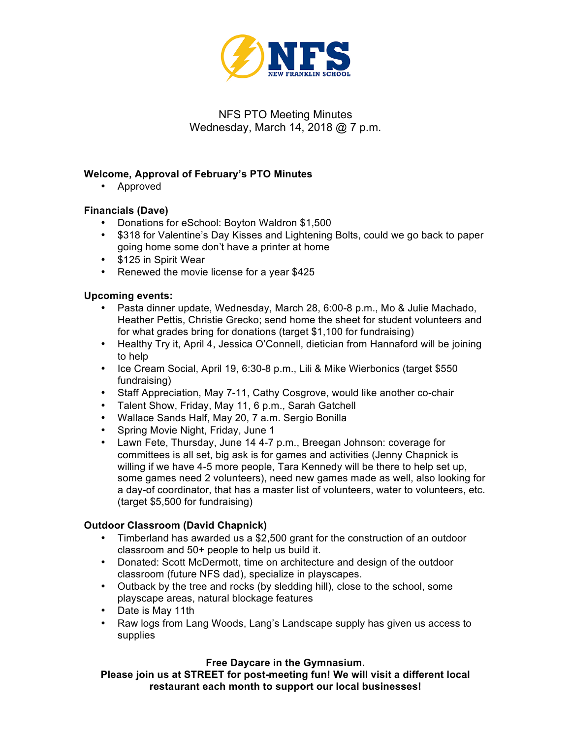

# NFS PTO Meeting Minutes Wednesday, March 14, 2018 @ 7 p.m.

## **Welcome, Approval of February's PTO Minutes**

• Approved

## **Financials (Dave)**

- Donations for eSchool: Boyton Waldron \$1,500
- \$318 for Valentine's Day Kisses and Lightening Bolts, could we go back to paper going home some don't have a printer at home
- \$125 in Spirit Wear
- Renewed the movie license for a year \$425

## **Upcoming events:**

- Pasta dinner update, Wednesday, March 28, 6:00-8 p.m., Mo & Julie Machado, Heather Pettis, Christie Grecko; send home the sheet for student volunteers and for what grades bring for donations (target \$1,100 for fundraising)
- Healthy Try it, April 4, Jessica O'Connell, dietician from Hannaford will be joining to help
- Ice Cream Social, April 19, 6:30-8 p.m., Lili & Mike Wierbonics (target \$550 fundraising)
- Staff Appreciation, May 7-11, Cathy Cosgrove, would like another co-chair
- Talent Show, Friday, May 11, 6 p.m., Sarah Gatchell
- Wallace Sands Half, May 20, 7 a.m. Sergio Bonilla
- Spring Movie Night, Friday, June 1
- Lawn Fete, Thursday, June 14 4-7 p.m., Breegan Johnson: coverage for committees is all set, big ask is for games and activities (Jenny Chapnick is willing if we have 4-5 more people, Tara Kennedy will be there to help set up, some games need 2 volunteers), need new games made as well, also looking for a day-of coordinator, that has a master list of volunteers, water to volunteers, etc. (target \$5,500 for fundraising)

#### **Outdoor Classroom (David Chapnick)**

- Timberland has awarded us a \$2,500 grant for the construction of an outdoor classroom and 50+ people to help us build it.
- Donated: Scott McDermott, time on architecture and design of the outdoor classroom (future NFS dad), specialize in playscapes.
- Outback by the tree and rocks (by sledding hill), close to the school, some playscape areas, natural blockage features
- Date is May 11th
- Raw logs from Lang Woods, Lang's Landscape supply has given us access to supplies

#### **Free Daycare in the Gymnasium.**

**Please join us at STREET for post-meeting fun! We will visit a different local restaurant each month to support our local businesses!**